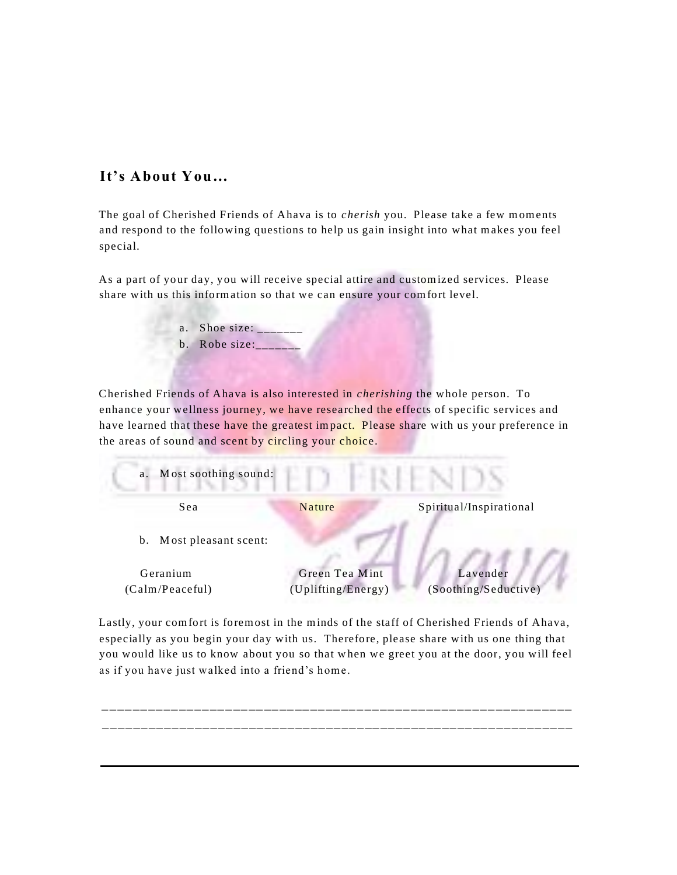# **It's About You…**

The goal of Cherished Friends of Ahava is to *cherish* you. Please take a few moments and respond to the following questions to help us gain insight into what m akes you feel special.

As a part of your day, you will receive special attire and custom ized services. Please share with us this inform ation so that we can ensure your com fort level.

> a. Shoe size: b. Robe size:

Cherished Friends of Ahava is also interested in *cherishing* the whole person. To enhance your wellness journey, we have researched the effects of specific services and have learned that these have the greatest impact. Please share with us your preference in the areas of sound and scent by circling your choice.



Lastly, your com fort is forem ost in the m inds of the staff of Cherished Friends of Ahava, especially as you begin your day with us. Therefore, please share with us one thing that you would like us to know about you so that w hen we greet you at the door, you will feel as if you have just walked into a friend's home.

\_\_\_\_\_\_\_\_\_\_\_\_\_\_\_\_\_\_\_\_\_\_\_\_\_\_\_\_\_\_\_\_\_\_\_\_\_\_\_\_\_\_\_\_\_\_\_\_\_\_\_\_\_\_\_\_\_\_\_\_\_ \_\_\_\_\_\_\_\_\_\_\_\_\_\_\_\_\_\_\_\_\_\_\_\_\_\_\_\_\_\_\_\_\_\_\_\_\_\_\_\_\_\_\_\_\_\_\_\_\_\_\_\_\_\_\_\_\_\_\_\_\_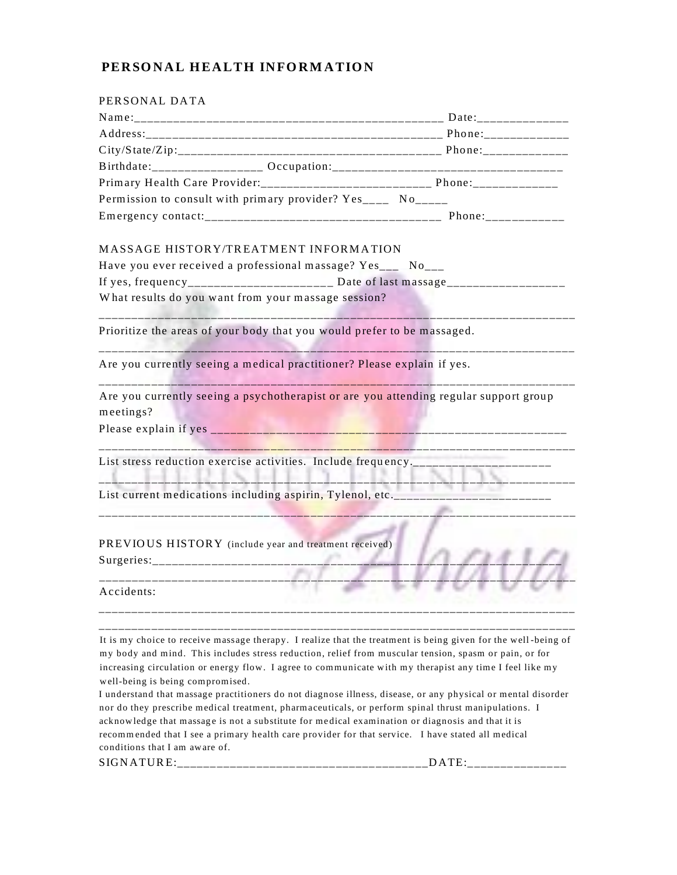# PERSONAL HEALTH INFORMATION

| PERSONAL DATA                                                                           |                                                    |                                                                                                     |
|-----------------------------------------------------------------------------------------|----------------------------------------------------|-----------------------------------------------------------------------------------------------------|
|                                                                                         |                                                    |                                                                                                     |
|                                                                                         |                                                    |                                                                                                     |
|                                                                                         |                                                    |                                                                                                     |
|                                                                                         |                                                    |                                                                                                     |
|                                                                                         |                                                    |                                                                                                     |
| Permission to consult with primary provider? Yes______ No_____                          |                                                    |                                                                                                     |
|                                                                                         |                                                    |                                                                                                     |
| MASSAGE HISTORY/TREATMENT INFORMATION                                                   |                                                    |                                                                                                     |
| Have you ever received a professional massage? Yes___ No___                             |                                                    |                                                                                                     |
| If yes, frequency______________________ Date of last massage____________________        |                                                    |                                                                                                     |
| What results do you want from your massage session?                                     |                                                    |                                                                                                     |
| Prioritize the areas of your body that you would prefer to be massaged.                 |                                                    |                                                                                                     |
| Are you currently seeing a medical practitioner? Please explain if yes.                 |                                                    |                                                                                                     |
| meetings?                                                                               |                                                    | Are you currently seeing a psychotherapist or are you attending regular support group               |
|                                                                                         |                                                    |                                                                                                     |
|                                                                                         | <u> 1989 - Johann Marie Marie Strand Barbara (</u> | List stress reduction exercise activities. Include frequency.___________________                    |
|                                                                                         |                                                    | The Story Lands<br>List current medications including aspirin, Tylenol, etc._______________________ |
| PREVIOUS HISTORY (include year and treatment received)<br>_____________________________ |                                                    |                                                                                                     |
| Accidents:                                                                              |                                                    |                                                                                                     |
|                                                                                         |                                                    |                                                                                                     |

It is my choice to receive massage therapy. I realize that the treatment is being given for the well-being of my body and mind. This includes stress reduction, relief from muscular tension, spasm or pain, or for increasing circulation or energy flow. I agree to communicate with my therapist any time I feel like my well-being is being compromised.

I understand that massage practitioners do not diagnose illness, disease, or any physical or mental disorder nor do they prescribe medical treatment, pharmaceuticals, or perform spinal thrust manipulations. I acknowledge that massage is not a substitute for medical examination or diagnosis and that it is recommended that I see a primary health care provider for that service. I have stated all medical conditions that I am aware of.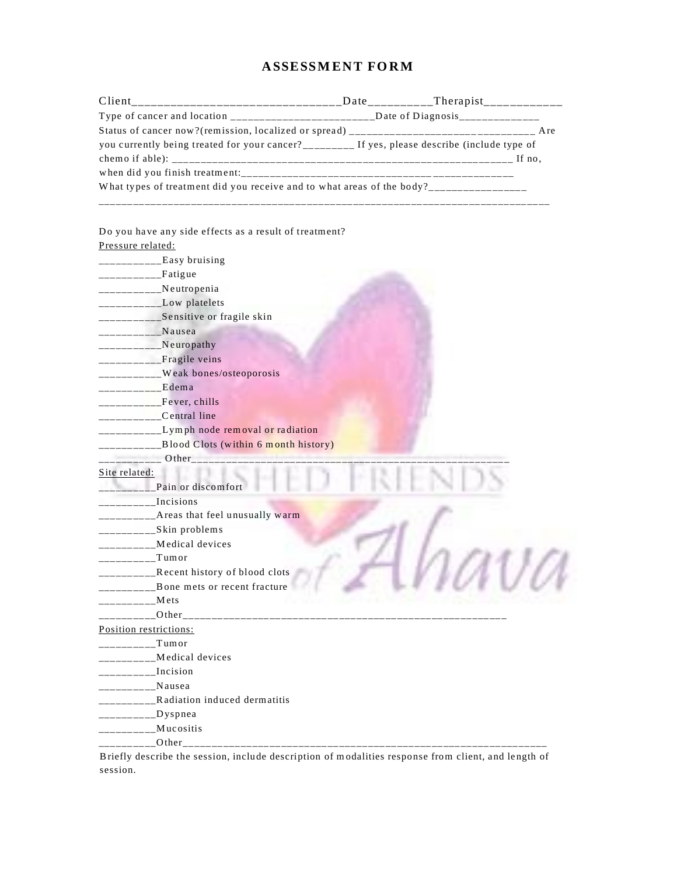# **ASSESSMENT FORM**

| Client                                                                                                                                                |  |
|-------------------------------------------------------------------------------------------------------------------------------------------------------|--|
|                                                                                                                                                       |  |
|                                                                                                                                                       |  |
| you currently being treated for your cancer?_________ If yes, please describe (include type of                                                        |  |
|                                                                                                                                                       |  |
|                                                                                                                                                       |  |
| What types of treatment did you receive and to what areas of the body?________________                                                                |  |
|                                                                                                                                                       |  |
|                                                                                                                                                       |  |
| Do you have any side effects as a result of treatment?                                                                                                |  |
| Pressure related:                                                                                                                                     |  |
|                                                                                                                                                       |  |
| ___________Fatigue                                                                                                                                    |  |
| ___________Neutropenia                                                                                                                                |  |
| ___________Low platelets                                                                                                                              |  |
| ____________Sensitive or fragile skin                                                                                                                 |  |
| __________Nausea                                                                                                                                      |  |
| __________Neuropathy                                                                                                                                  |  |
| _________Fragile veins                                                                                                                                |  |
| __________Weak bones/osteoporosis                                                                                                                     |  |
| ----------Edema                                                                                                                                       |  |
| $-----$ Fever, chills                                                                                                                                 |  |
| ___________Central line                                                                                                                               |  |
| __________Lymph node removal or radiation                                                                                                             |  |
| __________Blood Clots (within 6 month history)                                                                                                        |  |
| Other                                                                                                                                                 |  |
| Site related:                                                                                                                                         |  |
| Pain or discomfort                                                                                                                                    |  |
| Incisions                                                                                                                                             |  |
| __________Areas that feel unusually warm                                                                                                              |  |
| __________Skin problems                                                                                                                               |  |
| _________Medical devices                                                                                                                              |  |
| $_$ Tumor<br>$    -$                                                                                                                                  |  |
| Recent history of blood clots<br><u> 1999 - 1999 - 1999 - 1999 - 1999 - 1999 - 1999 - 1999 - 1999 - 1999 - 1999 - 1999 - 1999 - 1999 - 1999 - 199</u> |  |
| Bone mets or recent fracture                                                                                                                          |  |
| Mets                                                                                                                                                  |  |
| Other_<br>Position restrictions:                                                                                                                      |  |
| Tumor                                                                                                                                                 |  |
| Medical devices                                                                                                                                       |  |
| $\frac{1}{2}$ Incision                                                                                                                                |  |
|                                                                                                                                                       |  |
| ________Nausea<br>_______Radiation induced dermatitis                                                                                                 |  |
|                                                                                                                                                       |  |
| $\_\_\_\_\_\_\_\_\_\_\_\_\_\$ Dyspnea                                                                                                                 |  |
| Mucositis                                                                                                                                             |  |
| _______0ther_______________________________                                                                                                           |  |

Briefly describe the session, include description of modalities response from client, and length of session.